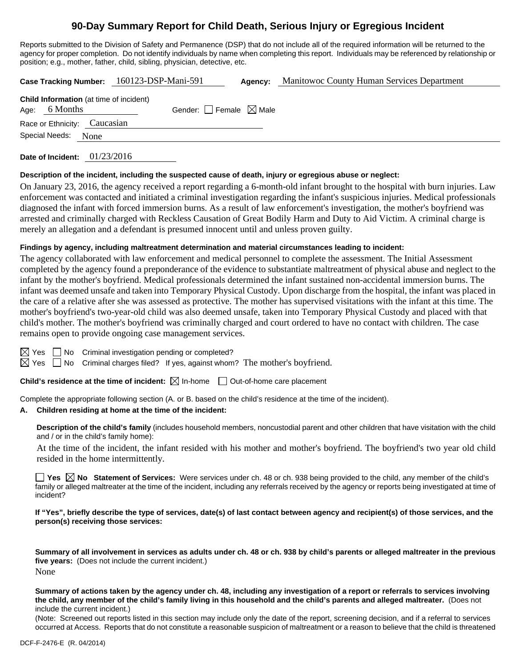# **90-Day Summary Report for Child Death, Serious Injury or Egregious Incident**

Reports submitted to the Division of Safety and Permanence (DSP) that do not include all of the required information will be returned to the agency for proper completion. Do not identify individuals by name when completing this report. Individuals may be referenced by relationship or position; e.g., mother, father, child, sibling, physician, detective, etc.

|  |                                                                 |      | Case Tracking Number: 160123-DSP-Mani-591 |                                        | Agency: | Manitowoc County Human Services Department |
|--|-----------------------------------------------------------------|------|-------------------------------------------|----------------------------------------|---------|--------------------------------------------|
|  | <b>Child Information</b> (at time of incident)<br>Age: 6 Months |      |                                           | Gender: $\Box$ Female $\boxtimes$ Male |         |                                            |
|  | Race or Ethnicity: Caucasian                                    |      |                                           |                                        |         |                                            |
|  | Special Needs:                                                  | None |                                           |                                        |         |                                            |

**Date of Incident:** 01/23/2016

### **Description of the incident, including the suspected cause of death, injury or egregious abuse or neglect:**

On January 23, 2016, the agency received a report regarding a 6-month-old infant brought to the hospital with burn injuries. Law enforcement was contacted and initiated a criminal investigation regarding the infant's suspicious injuries. Medical professionals diagnosed the infant with forced immersion burns. As a result of law enforcement's investigation, the mother's boyfriend was arrested and criminally charged with Reckless Causation of Great Bodily Harm and Duty to Aid Victim. A criminal charge is merely an allegation and a defendant is presumed innocent until and unless proven guilty.

### **Findings by agency, including maltreatment determination and material circumstances leading to incident:**

The agency collaborated with law enforcement and medical personnel to complete the assessment. The Initial Assessment completed by the agency found a preponderance of the evidence to substantiate maltreatment of physical abuse and neglect to the infant by the mother's boyfriend. Medical professionals determined the infant sustained non-accidental immersion burns. The infant was deemed unsafe and taken into Temporary Physical Custody. Upon discharge from the hospital, the infant was placed in the care of a relative after she was assessed as protective. The mother has supervised visitations with the infant at this time. The mother's boyfriend's two-year-old child was also deemed unsafe, taken into Temporary Physical Custody and placed with that child's mother. The mother's boyfriend was criminally charged and court ordered to have no contact with children. The case remains open to provide ongoing case management services.

 $\Box$  No Criminal investigation pending or completed?

 $\boxtimes$  Yes  $\Box$  No Criminal charges filed? If yes, against whom? The mother's boyfriend.

**Child's residence at the time of incident:**  $\boxtimes$  In-home  $\Box$  Out-of-home care placement

Complete the appropriate following section (A. or B. based on the child's residence at the time of the incident).

### **A. Children residing at home at the time of the incident:**

**Description of the child's family** (includes household members, noncustodial parent and other children that have visitation with the child and / or in the child's family home):

 At the time of the incident, the infant resided with his mother and mother's boyfriend. The boyfriend's two year old child resided in the home intermittently.

■ Yes **No** Statement of Services: Were services under ch. 48 or ch. 938 being provided to the child, any member of the child's family or alleged maltreater at the time of the incident, including any referrals received by the agency or reports being investigated at time of incident?

**If "Yes", briefly describe the type of services, date(s) of last contact between agency and recipient(s) of those services, and the person(s) receiving those services:** 

**Summary of all involvement in services as adults under ch. 48 or ch. 938 by child's parents or alleged maltreater in the previous five years:** (Does not include the current incident.) None

**Summary of actions taken by the agency under ch. 48, including any investigation of a report or referrals to services involving the child, any member of the child's family living in this household and the child's parents and alleged maltreater.** (Does not include the current incident.)

(Note: Screened out reports listed in this section may include only the date of the report, screening decision, and if a referral to services occurred at Access. Reports that do not constitute a reasonable suspicion of maltreatment or a reason to believe that the child is threatened